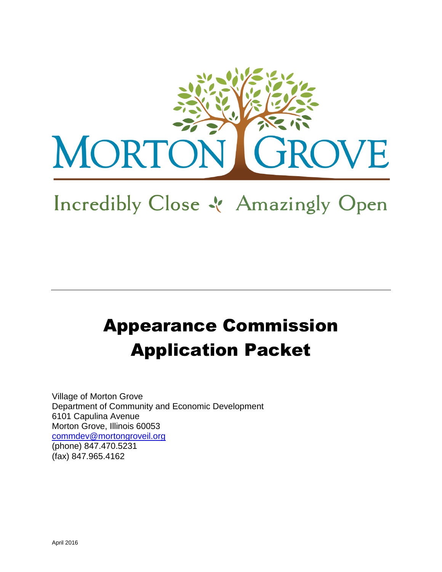

# Incredibly Close & Amazingly Open

# Appearance Commission Application Packet

Village of Morton Grove Department of Community and Economic Development 6101 Capulina Avenue Morton Grove, Illinois 60053 [commdev@mortongroveil.org](mailto:commdev@mortongroveil.org) (phone) 847.470.5231 (fax) 847.965.4162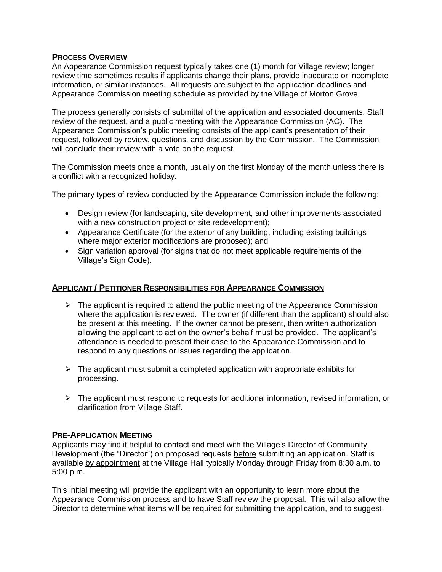# **PROCESS OVERVIEW**

An Appearance Commission request typically takes one (1) month for Village review; longer review time sometimes results if applicants change their plans, provide inaccurate or incomplete information, or similar instances. All requests are subject to the application deadlines and Appearance Commission meeting schedule as provided by the Village of Morton Grove.

The process generally consists of submittal of the application and associated documents, Staff review of the request, and a public meeting with the Appearance Commission (AC). The Appearance Commission's public meeting consists of the applicant's presentation of their request, followed by review, questions, and discussion by the Commission. The Commission will conclude their review with a vote on the request.

The Commission meets once a month, usually on the first Monday of the month unless there is a conflict with a recognized holiday.

The primary types of review conducted by the Appearance Commission include the following:

- Design review (for landscaping, site development, and other improvements associated with a new construction project or site redevelopment);
- Appearance Certificate (for the exterior of any building, including existing buildings where major exterior modifications are proposed); and
- Sign variation approval (for signs that do not meet applicable requirements of the Village's Sign Code).

# **APPLICANT / PETITIONER RESPONSIBILITIES FOR APPEARANCE COMMISSION**

- $\triangleright$  The applicant is required to attend the public meeting of the Appearance Commission where the application is reviewed. The owner (if different than the applicant) should also be present at this meeting. If the owner cannot be present, then written authorization allowing the applicant to act on the owner's behalf must be provided. The applicant's attendance is needed to present their case to the Appearance Commission and to respond to any questions or issues regarding the application.
- $\triangleright$  The applicant must submit a completed application with appropriate exhibits for processing.
- $\triangleright$  The applicant must respond to requests for additional information, revised information, or clarification from Village Staff.

# **PRE-APPLICATION MEETING**

Applicants may find it helpful to contact and meet with the Village's Director of Community Development (the "Director") on proposed requests before submitting an application. Staff is available by appointment at the Village Hall typically Monday through Friday from 8:30 a.m. to 5:00 p.m.

This initial meeting will provide the applicant with an opportunity to learn more about the Appearance Commission process and to have Staff review the proposal. This will also allow the Director to determine what items will be required for submitting the application, and to suggest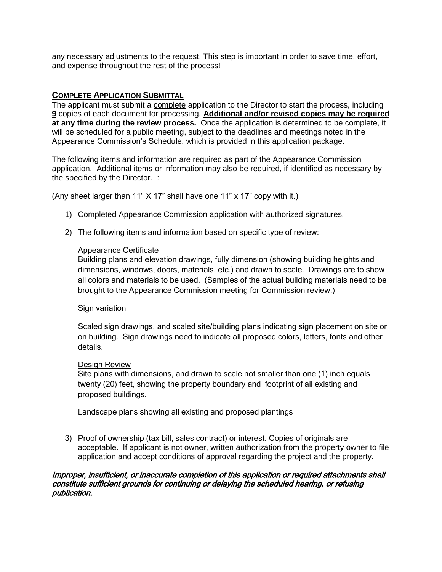any necessary adjustments to the request. This step is important in order to save time, effort, and expense throughout the rest of the process!

# **COMPLETE APPLICATION SUBMITTAL**

The applicant must submit a complete application to the Director to start the process, including **9** copies of each document for processing. **Additional and/or revised copies may be required at any time during the review process.** Once the application is determined to be complete, it will be scheduled for a public meeting, subject to the deadlines and meetings noted in the Appearance Commission's Schedule, which is provided in this application package.

The following items and information are required as part of the Appearance Commission application. Additional items or information may also be required, if identified as necessary by the specified by the Director. :

(Any sheet larger than 11" X 17" shall have one 11" x 17" copy with it.)

- 1) Completed Appearance Commission application with authorized signatures.
- 2) The following items and information based on specific type of review:

#### Appearance Certificate

Building plans and elevation drawings, fully dimension (showing building heights and dimensions, windows, doors, materials, etc.) and drawn to scale. Drawings are to show all colors and materials to be used. (Samples of the actual building materials need to be brought to the Appearance Commission meeting for Commission review.)

#### Sign variation

Scaled sign drawings, and scaled site/building plans indicating sign placement on site or on building. Sign drawings need to indicate all proposed colors, letters, fonts and other details.

#### Design Review

Site plans with dimensions, and drawn to scale not smaller than one (1) inch equals twenty (20) feet, showing the property boundary and footprint of all existing and proposed buildings.

Landscape plans showing all existing and proposed plantings

3) Proof of ownership (tax bill, sales contract) or interest. Copies of originals are acceptable. If applicant is not owner, written authorization from the property owner to file application and accept conditions of approval regarding the project and the property.

#### Improper, insufficient, or inaccurate completion of this application or required attachments shall constitute sufficient grounds for continuing or delaying the scheduled hearing, or refusing publication.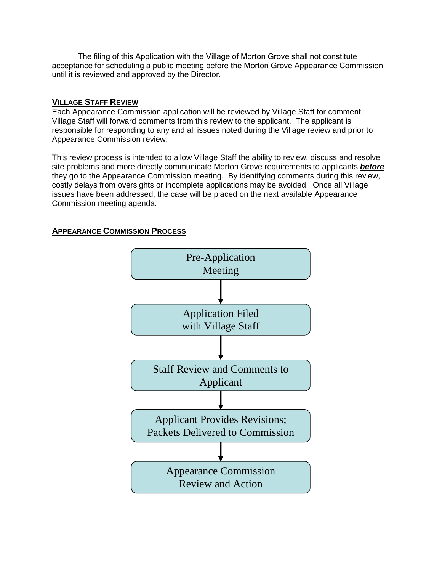The filing of this Application with the Village of Morton Grove shall not constitute acceptance for scheduling a public meeting before the Morton Grove Appearance Commission until it is reviewed and approved by the Director.

# **VILLAGE STAFF REVIEW**

Each Appearance Commission application will be reviewed by Village Staff for comment. Village Staff will forward comments from this review to the applicant. The applicant is responsible for responding to any and all issues noted during the Village review and prior to Appearance Commission review.

This review process is intended to allow Village Staff the ability to review, discuss and resolve site problems and more directly communicate Morton Grove requirements to applicants *before*  they go to the Appearance Commission meeting. By identifying comments during this review, costly delays from oversights or incomplete applications may be avoided. Once all Village issues have been addressed, the case will be placed on the next available Appearance Commission meeting agenda.

# **APPEARANCE COMMISSION PROCESS**

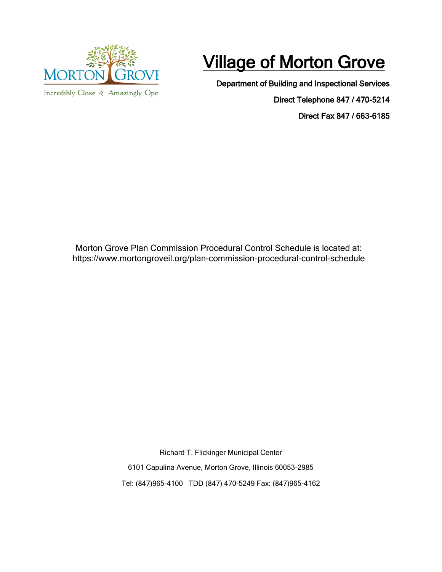

Incredibly Close & Amazingly Ope

# **Village of Morton Grove**

Department of Building and Inspectional Services

Direct Telephone 847 / 470-5214

Direct Fax 847 / 663-6185

Morton Grove Plan Commission Procedural Control Schedule is located at: <https://www.mortongroveil.org/plan-commission-procedural-control-schedule>

> Richard T. Flickinger Municipal Center 6101 Capulina Avenue, Morton Grove, Illinois 60053-2985 Tel: (847)965-4100 TDD (847) 470-5249 Fax: (847)965-4162